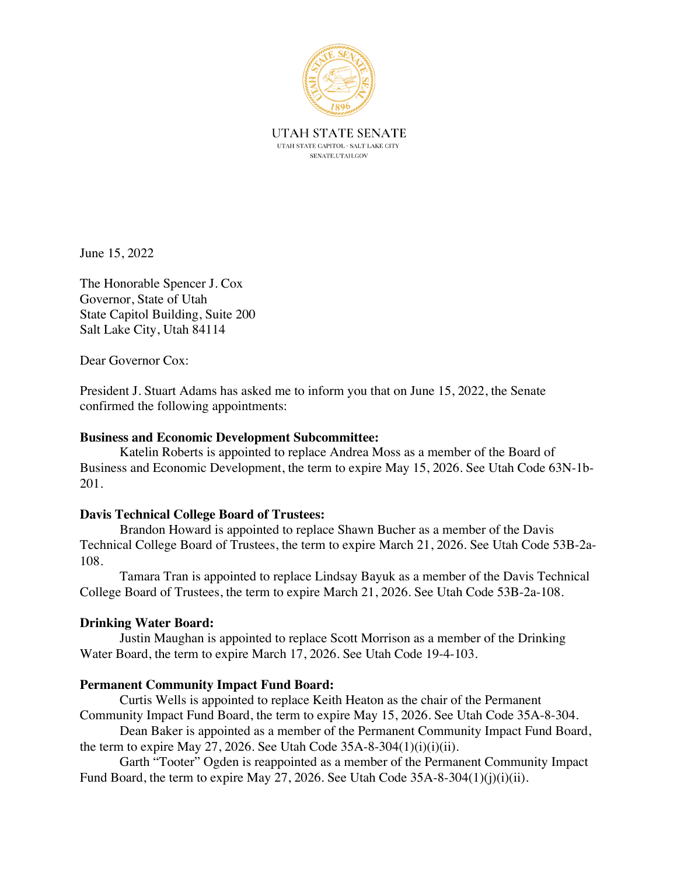

June 15, 2022

The Honorable Spencer J. Cox Governor, State of Utah State Capitol Building, Suite 200 Salt Lake City, Utah 84114

Dear Governor Cox:

President J. Stuart Adams has asked me to inform you that on June 15, 2022, the Senate confirmed the following appointments:

# **Business and Economic Development Subcommittee:**

Katelin Roberts is appointed to replace Andrea Moss as a member of the Board of Business and Economic Development, the term to expire May 15, 2026. See Utah Code 63N-1b-201.

## **Davis Technical College Board of Trustees:**

Brandon Howard is appointed to replace Shawn Bucher as a member of the Davis Technical College Board of Trustees, the term to expire March 21, 2026. See Utah Code 53B-2a-108.

Tamara Tran is appointed to replace Lindsay Bayuk as a member of the Davis Technical College Board of Trustees, the term to expire March 21, 2026. See Utah Code 53B-2a-108.

## **Drinking Water Board:**

Justin Maughan is appointed to replace Scott Morrison as a member of the Drinking Water Board, the term to expire March 17, 2026. See Utah Code 19-4-103.

## **Permanent Community Impact Fund Board:**

Curtis Wells is appointed to replace Keith Heaton as the chair of the Permanent Community Impact Fund Board, the term to expire May 15, 2026. See Utah Code 35A-8-304.

Dean Baker is appointed as a member of the Permanent Community Impact Fund Board, the term to expire May 27, 2026. See Utah Code  $35A-8-304(1)(i)(i)(ii)$ .

Garth "Tooter" Ogden is reappointed as a member of the Permanent Community Impact Fund Board, the term to expire May 27, 2026. See Utah Code 35A-8-304(1)(j)(i)(ii).